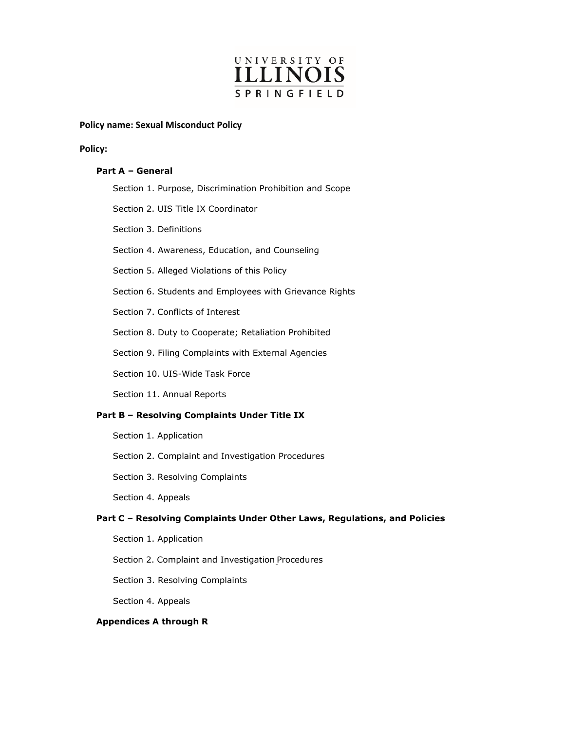

## **Policy name: Sexual Misconduct Policy**

#### **Policy:**

### **Part A – General**

|                                              | Section 1. Purpose, Discrimination Prohibition and Scope |
|----------------------------------------------|----------------------------------------------------------|
|                                              | Section 2. UIS Title IX Coordinator                      |
|                                              | Section 3. Definitions                                   |
|                                              | Section 4. Awareness, Education, and Counseling          |
|                                              | Section 5. Alleged Violations of this Policy             |
|                                              | Section 6. Students and Employees with Grievance Rights  |
|                                              | Section 7. Conflicts of Interest                         |
|                                              | Section 8. Duty to Cooperate; Retaliation Prohibited     |
|                                              | Section 9. Filing Complaints with External Agencies      |
|                                              | Section 10. UIS-Wide Task Force                          |
|                                              | Section 11. Annual Reports                               |
| Part B - Resolving Complaints Under Title IX |                                                          |
|                                              | Section 1. Application                                   |

Section 2. Complaint and Investigation Procedures

Section 3. Resolving Complaints

Section 4. Appeals

## **Part C – Resolving Complaints Under Other Laws, Regulations, and Policies**

Section 1. Application

Section 2. Complaint and Investigation Procedures

Section 3. Resolving Complaints

Section 4. Appeals

## **Appendices A through R**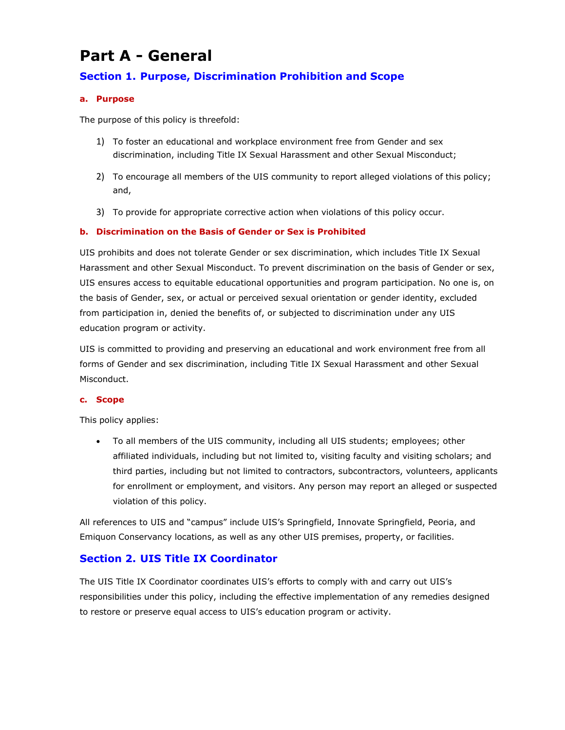# **Part A - General**

## **Section 1. Purpose, Discrimination Prohibition and Scope**

## **a. Purpose**

The purpose of this policy is threefold:

- 1) To foster an educational and workplace environment free from Gender and sex discrimination, including Title IX Sexual Harassment and other Sexual Misconduct;
- 2) To encourage all members of the UIS community to report alleged violations of this policy; and,
- 3) To provide for appropriate corrective action when violations of this policy occur.

## **b. Discrimination on the Basis of Gender or Sex is Prohibited**

UIS prohibits and does not tolerate Gender or sex discrimination, which includes Title IX Sexual Harassment and other Sexual Misconduct. To prevent discrimination on the basis of Gender or sex, UIS ensures access to equitable educational opportunities and program participation. No one is, on the basis of Gender, sex, or actual or perceived sexual orientation or gender identity, excluded from participation in, denied the benefits of, or subjected to discrimination under any UIS education program or activity.

UIS is committed to providing and preserving an educational and work environment free from all forms of Gender and sex discrimination, including Title IX Sexual Harassment and other Sexual Misconduct.

### **c. Scope**

This policy applies:

• To all members of the UIS community, including all UIS students; employees; other affiliated individuals, including but not limited to, visiting faculty and visiting scholars; and third parties, including but not limited to contractors, subcontractors, volunteers, applicants for enrollment or employment, and visitors. Any person may report an alleged or suspected violation of this policy.

All references to UIS and "campus" include UIS's Springfield, Innovate Springfield, Peoria, and Emiquon Conservancy locations, as well as any other UIS premises, property, or facilities.

## **Section 2. UIS Title IX Coordinator**

The UIS Title IX Coordinator coordinates UIS's efforts to comply with and carry out UIS's responsibilities under this policy, including the effective implementation of any remedies designed to restore or preserve equal access to UIS's education program or activity.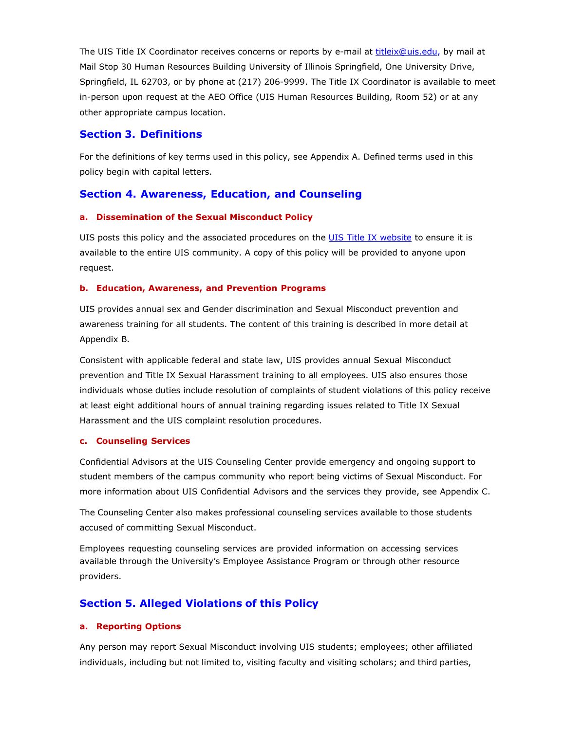The UIS Title IX Coordinator receives concerns or reports by e-mail at [titleix@uis.edu, b](mailto:titleix@uis.edu)y mail at Mail Stop 30 Human Resources Building University of Illinois Springfield, One University Drive, Springfield, IL 62703, or by phone at (217) 206-9999. The Title IX Coordinator is available to meet in-person upon request at the AEO Office (UIS Human Resources Building, Room 52) or at any other appropriate campus location.

## **Section 3. Definitions**

For the definitions of key terms used in this policy, see Appendix A. Defined terms used in this policy begin with capital letters.

## **Section 4. Awareness, Education, and Counseling**

### **a. Dissemination of the Sexual Misconduct Policy**

UIS posts this policy and the associated procedures on the UIS Title IX [website](https://www.uis.edu/titleix/) to ensure it is available to the entire UIS community. A copy of this policy will be provided to anyone upon request.

#### **b. Education, Awareness, and Prevention Programs**

UIS provides annual sex and Gender discrimination and Sexual Misconduct prevention and awareness training for all students. The content of this training is described in more detail at Appendix B.

Consistent with applicable federal and state law, UIS provides annual Sexual Misconduct prevention and Title IX Sexual Harassment training to all employees. UIS also ensures those individuals whose duties include resolution of complaints of student violations of this policy receive at least eight additional hours of annual training regarding issues related to Title IX Sexual Harassment and the UIS complaint resolution procedures.

## **c. Counseling Services**

Confidential Advisors at the UIS Counseling Center provide emergency and ongoing support to student members of the campus community who report being victims of Sexual Misconduct. For more information about UIS Confidential Advisors and the services they provide, see Appendix C.

The Counseling Center also makes professional counseling services available to those students accused of committing Sexual Misconduct.

Employees requesting counseling services are provided information on accessing services available through the University's Employee Assistance Program or through other resource providers.

## **Section 5. Alleged Violations of this Policy**

### **a. Reporting Options**

Any person may report Sexual Misconduct involving UIS students; employees; other affiliated individuals, including but not limited to, visiting faculty and visiting scholars; and third parties,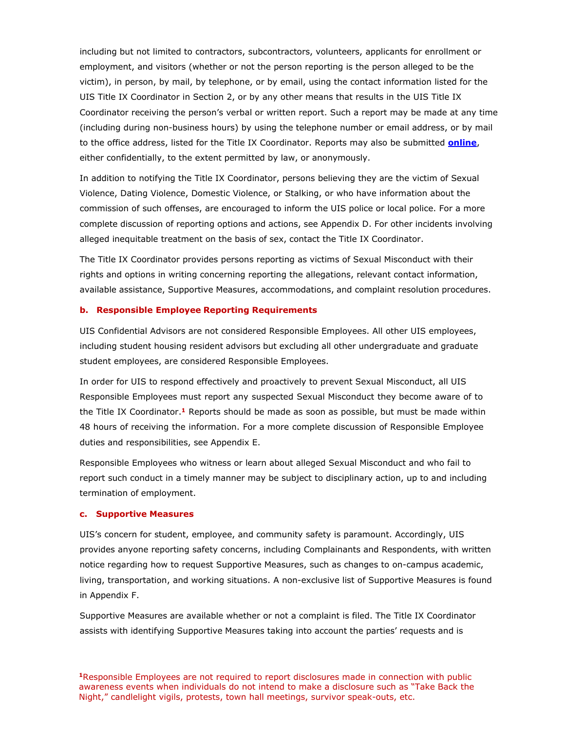including but not limited to contractors, subcontractors, volunteers, applicants for enrollment or employment, and visitors (whether or not the person reporting is the person alleged to be the victim), in person, by mail, by telephone, or by email, using the contact information listed for the UIS Title IX Coordinator in Section 2, or by any other means that results in the UIS Title IX Coordinator receiving the person's verbal or written report. Such a report may be made at any time (including during non-business hours) by using the telephone number or email address, or by mail to the office address, listed for the Title IX Coordinator. Reports may also be submitted **[online](https://www.uis.edu/titleix/report-an-incident/)**, either confidentially, to the extent permitted by law, or anonymously.

In addition to notifying the Title IX Coordinator, persons believing they are the victim of Sexual Violence, Dating Violence, Domestic Violence, or Stalking, or who have information about the commission of such offenses, are encouraged to inform the UIS police or local police. For a more complete discussion of reporting options and actions, see Appendix D. For other incidents involving alleged inequitable treatment on the basis of sex, contact the Title IX Coordinator.

The Title IX Coordinator provides persons reporting as victims of Sexual Misconduct with their rights and options in writing concerning reporting the allegations, relevant contact information, available assistance, Supportive Measures, accommodations, and complaint resolution procedures.

#### **b. Responsible Employee Reporting Requirements**

UIS Confidential Advisors are not considered Responsible Employees. All other UIS employees, including student housing resident advisors but excluding all other undergraduate and graduate student employees, are considered Responsible Employees.

In order for UIS to respond effectively and proactively to prevent Sexual Misconduct, all UIS Responsible Employees must report any suspected Sexual Misconduct they become aware of to the Title IX Coordinator.**<sup>1</sup>** Reports should be made as soon as possible, but must be made within 48 hours of receiving the information. For a more complete discussion of Responsible Employee duties and responsibilities, see Appendix E.

Responsible Employees who witness or learn about alleged Sexual Misconduct and who fail to report such conduct in a timely manner may be subject to disciplinary action, up to and including termination of employment.

#### **c. Supportive Measures**

UIS's concern for student, employee, and community safety is paramount. Accordingly, UIS provides anyone reporting safety concerns, including Complainants and Respondents, with written notice regarding how to request Supportive Measures, such as changes to on-campus academic, living, transportation, and working situations. A non-exclusive list of Supportive Measures is found in Appendix F.

Supportive Measures are available whether or not a complaint is filed. The Title IX Coordinator assists with identifying Supportive Measures taking into account the parties' requests and is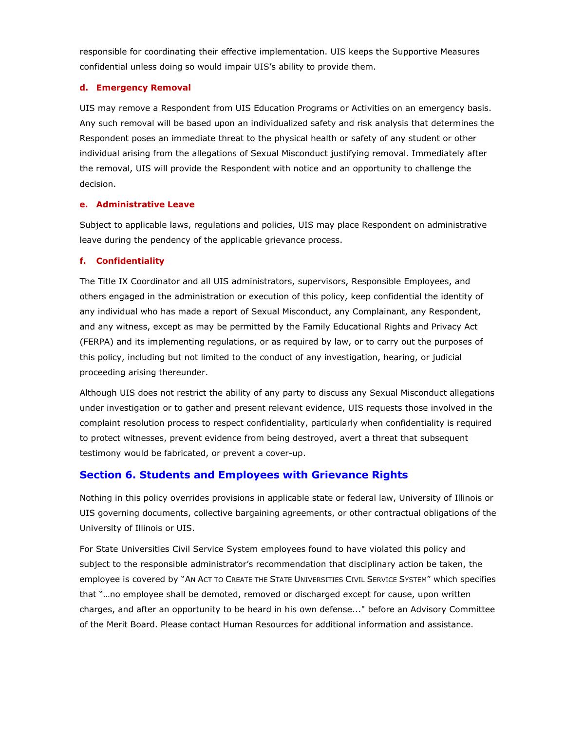responsible for coordinating their effective implementation. UIS keeps the Supportive Measures confidential unless doing so would impair UIS's ability to provide them.

## **d. Emergency Removal**

UIS may remove a Respondent from UIS Education Programs or Activities on an emergency basis. Any such removal will be based upon an individualized safety and risk analysis that determines the Respondent poses an immediate threat to the physical health or safety of any student or other individual arising from the allegations of Sexual Misconduct justifying removal. Immediately after the removal, UIS will provide the Respondent with notice and an opportunity to challenge the decision.

## **e. Administrative Leave**

Subject to applicable laws, regulations and policies, UIS may place Respondent on administrative leave during the pendency of the applicable grievance process.

## **f. Confidentiality**

The Title IX Coordinator and all UIS administrators, supervisors, Responsible Employees, and others engaged in the administration or execution of this policy, keep confidential the identity of any individual who has made a report of Sexual Misconduct, any Complainant, any Respondent, and any witness, except as may be permitted by the Family Educational Rights and Privacy Act (FERPA) and its implementing regulations, or as required by law, or to carry out the purposes of this policy, including but not limited to the conduct of any investigation, hearing, or judicial proceeding arising thereunder.

Although UIS does not restrict the ability of any party to discuss any Sexual Misconduct allegations under investigation or to gather and present relevant evidence, UIS requests those involved in the complaint resolution process to respect confidentiality, particularly when confidentiality is required to protect witnesses, prevent evidence from being destroyed, avert a threat that subsequent testimony would be fabricated, or prevent a cover-up.

## **Section 6. Students and Employees with Grievance Rights**

Nothing in this policy overrides provisions in applicable state or federal law, University of Illinois or UIS governing documents, collective bargaining agreements, or other contractual obligations of the University of Illinois or UIS.

For State Universities Civil Service System employees found to have violated this policy and subject to the responsible administrator's recommendation that disciplinary action be taken, the employee is covered by "AN ACT TO CREATE THE STATE UNIVERSITIES CIVIL SERVICE SYSTEM" which specifies that "…no employee shall be demoted, removed or discharged except for cause, upon written charges, and after an opportunity to be heard in his own defense..." before an Advisory Committee of the Merit Board. Please contact Human Resources for additional information and assistance.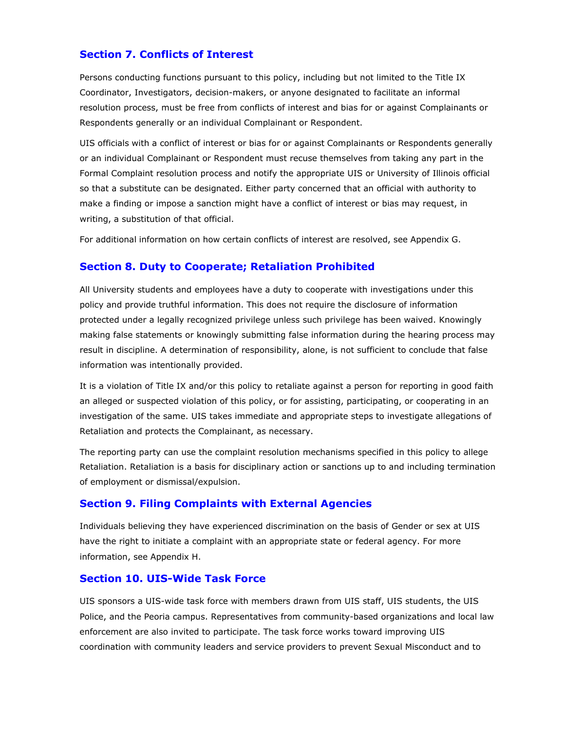## **Section 7. Conflicts of Interest**

Persons conducting functions pursuant to this policy, including but not limited to the Title IX Coordinator, Investigators, decision-makers, or anyone designated to facilitate an informal resolution process, must be free from conflicts of interest and bias for or against Complainants or Respondents generally or an individual Complainant or Respondent.

UIS officials with a conflict of interest or bias for or against Complainants or Respondents generally or an individual Complainant or Respondent must recuse themselves from taking any part in the Formal Complaint resolution process and notify the appropriate UIS or University of Illinois official so that a substitute can be designated. Either party concerned that an official with authority to make a finding or impose a sanction might have a conflict of interest or bias may request, in writing, a substitution of that official.

For additional information on how certain conflicts of interest are resolved, see Appendix G.

## **Section 8. Duty to Cooperate; Retaliation Prohibited**

All University students and employees have a duty to cooperate with investigations under this policy and provide truthful information. This does not require the disclosure of information protected under a legally recognized privilege unless such privilege has been waived. Knowingly making false statements or knowingly submitting false information during the hearing process may result in discipline. A determination of responsibility, alone, is not sufficient to conclude that false information was intentionally provided.

It is a violation of Title IX and/or this policy to retaliate against a person for reporting in good faith an alleged or suspected violation of this policy, or for assisting, participating, or cooperating in an investigation of the same. UIS takes immediate and appropriate steps to investigate allegations of Retaliation and protects the Complainant, as necessary.

The reporting party can use the complaint resolution mechanisms specified in this policy to allege Retaliation. Retaliation is a basis for disciplinary action or sanctions up to and including termination of employment or dismissal/expulsion.

## **Section 9. Filing Complaints with External Agencies**

Individuals believing they have experienced discrimination on the basis of Gender or sex at UIS have the right to initiate a complaint with an appropriate state or federal agency. For more information, see Appendix H.

## **Section 10. UIS-Wide Task Force**

UIS sponsors a UIS-wide task force with members drawn from UIS staff, UIS students, the UIS Police, and the Peoria campus. Representatives from community-based organizations and local law enforcement are also invited to participate. The task force works toward improving UIS coordination with community leaders and service providers to prevent Sexual Misconduct and to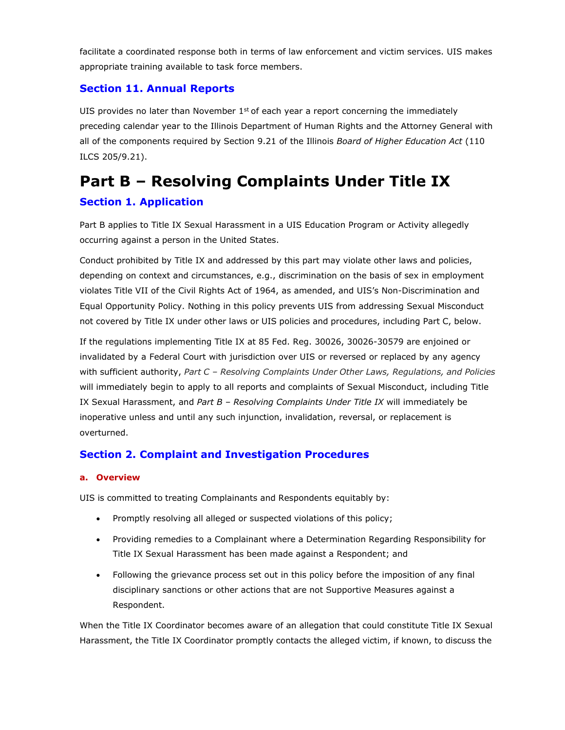facilitate a coordinated response both in terms of law enforcement and victim services. UIS makes appropriate training available to task force members.

## **Section 11. Annual Reports**

UIS provides no later than November  $1<sup>st</sup>$  of each year a report concerning the immediately preceding calendar year to the Illinois Department of Human Rights and the Attorney General with all of the components required by Section 9.21 of the Illinois *Board of Higher Education Act* (110 ILCS 205/9.21).

# **Part B – Resolving Complaints Under Title IX**

## **Section 1. Application**

Part B applies to Title IX Sexual Harassment in a UIS Education Program or Activity allegedly occurring against a person in the United States.

Conduct prohibited by Title IX and addressed by this part may violate other laws and policies, depending on context and circumstances, e.g., discrimination on the basis of sex in employment violates Title VII of the Civil Rights Act of 1964, as amended, and UIS's Non-Discrimination and Equal Opportunity Policy. Nothing in this policy prevents UIS from addressing Sexual Misconduct not covered by Title IX under other laws or UIS policies and procedures, including Part C, below.

If the regulations implementing Title IX at 85 Fed. Reg. 30026, 30026-30579 are enjoined or invalidated by a Federal Court with jurisdiction over UIS or reversed or replaced by any agency with sufficient authority, *Part C – Resolving Complaints Under Other Laws, Regulations, and Policies* will immediately begin to apply to all reports and complaints of Sexual Misconduct, including Title IX Sexual Harassment, and *Part B – Resolving Complaints Under Title IX* will immediately be inoperative unless and until any such injunction, invalidation, reversal, or replacement is overturned.

## **Section 2. Complaint and Investigation Procedures**

## **a. Overview**

UIS is committed to treating Complainants and Respondents equitably by:

- Promptly resolving all alleged or suspected violations of this policy;
- Providing remedies to a Complainant where a Determination Regarding Responsibility for Title IX Sexual Harassment has been made against a Respondent; and
- Following the grievance process set out in this policy before the imposition of any final disciplinary sanctions or other actions that are not Supportive Measures against a Respondent.

When the Title IX Coordinator becomes aware of an allegation that could constitute Title IX Sexual Harassment, the Title IX Coordinator promptly contacts the alleged victim, if known, to discuss the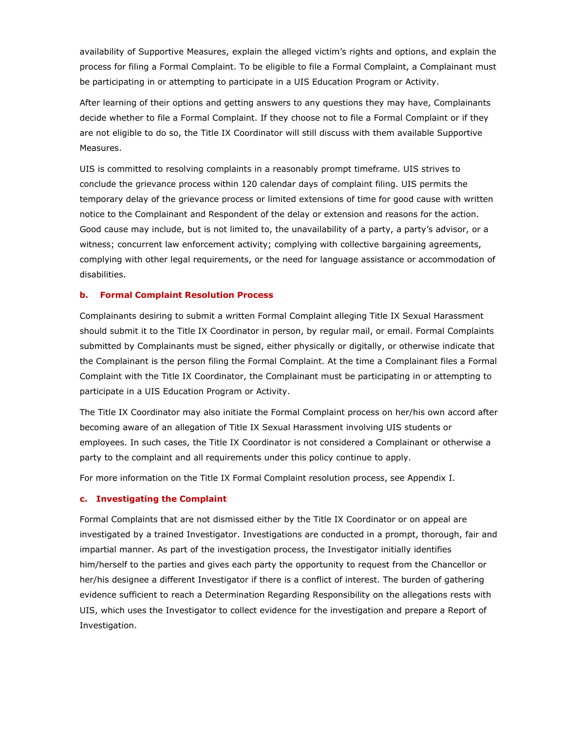availability of Supportive Measures, explain the alleged victim's rights and options, and explain the process for filing a Formal Complaint. To be eligible to file a Formal Complaint, a Complainant must be participating in or attempting to participate in a UIS Education Program or Activity.

After learning of their options and getting answers to any questions they may have, Complainants decide whether to file a Formal Complaint. If they choose not to file a Formal Complaint or if they are not eligible to do so, the Title IX Coordinator will still discuss with them available Supportive Measures.

UIS is committed to resolving complaints in a reasonably prompt timeframe. UIS strives to conclude the grievance process within 120 calendar days of complaint filing. UIS permits the temporary delay of the grievance process or limited extensions of time for good cause with written notice to the Complainant and Respondent of the delay or extension and reasons for the action. Good cause may include, but is not limited to, the unavailability of a party, a party's advisor, or a witness; concurrent law enforcement activity; complying with collective bargaining agreements, complying with other legal requirements, or the need for language assistance or accommodation of disabilities.

#### **b. Formal Complaint Resolution Process**

Complainants desiring to submit a written Formal Complaint alleging Title IX Sexual Harassment should submit it to the Title IX Coordinator in person, by regular mail, or email. Formal Complaints submitted by Complainants must be signed, either physically or digitally, or otherwise indicate that the Complainant is the person filing the Formal Complaint. At the time a Complainant files a Formal Complaint with the Title IX Coordinator, the Complainant must be participating in or attempting to participate in a UIS Education Program or Activity.

The Title IX Coordinator may also initiate the Formal Complaint process on her/his own accord after becoming aware of an allegation of Title IX Sexual Harassment involving UIS students or employees. In such cases, the Title IX Coordinator is not considered a Complainant or otherwise a party to the complaint and all requirements under this policy continue to apply.

For more information on the Title IX Formal Complaint resolution process, see Appendix I.

#### **c. Investigating the Complaint**

Formal Complaints that are not dismissed either by the Title IX Coordinator or on appeal are investigated by a trained Investigator. Investigations are conducted in a prompt, thorough, fair and impartial manner. As part of the investigation process, the Investigator initially identifies him/herself to the parties and gives each party the opportunity to request from the Chancellor or her/his designee a different Investigator if there is a conflict of interest. The burden of gathering evidence sufficient to reach a Determination Regarding Responsibility on the allegations rests with UIS, which uses the Investigator to collect evidence for the investigation and prepare a Report of Investigation.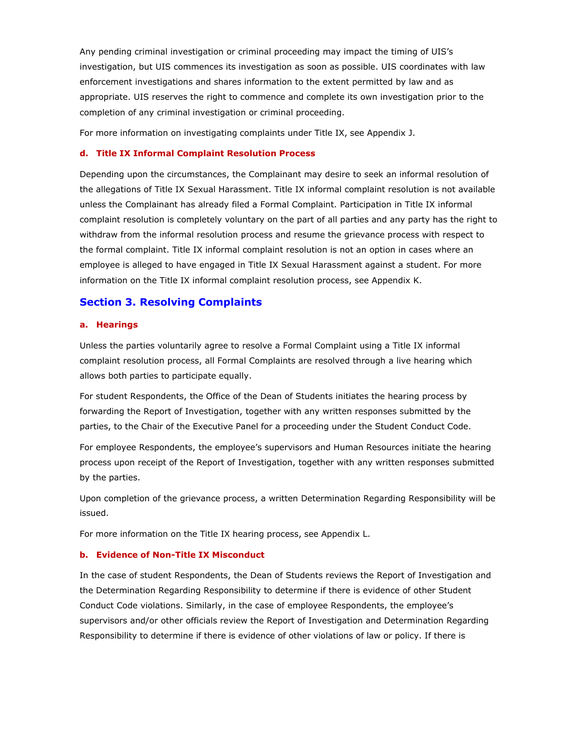Any pending criminal investigation or criminal proceeding may impact the timing of UIS's investigation, but UIS commences its investigation as soon as possible. UIS coordinates with law enforcement investigations and shares information to the extent permitted by law and as appropriate. UIS reserves the right to commence and complete its own investigation prior to the completion of any criminal investigation or criminal proceeding.

For more information on investigating complaints under Title IX, see Appendix J.

#### **d. Title IX Informal Complaint Resolution Process**

Depending upon the circumstances, the Complainant may desire to seek an informal resolution of the allegations of Title IX Sexual Harassment. Title IX informal complaint resolution is not available unless the Complainant has already filed a Formal Complaint. Participation in Title IX informal complaint resolution is completely voluntary on the part of all parties and any party has the right to withdraw from the informal resolution process and resume the grievance process with respect to the formal complaint. Title IX informal complaint resolution is not an option in cases where an employee is alleged to have engaged in Title IX Sexual Harassment against a student. For more information on the Title IX informal complaint resolution process, see Appendix K.

## **Section 3. Resolving Complaints**

#### **a. Hearings**

Unless the parties voluntarily agree to resolve a Formal Complaint using a Title IX informal complaint resolution process, all Formal Complaints are resolved through a live hearing which allows both parties to participate equally.

For student Respondents, the Office of the Dean of Students initiates the hearing process by forwarding the Report of Investigation, together with any written responses submitted by the parties, to the Chair of the Executive Panel for a proceeding under the Student Conduct Code.

For employee Respondents, the employee's supervisors and Human Resources initiate the hearing process upon receipt of the Report of Investigation, together with any written responses submitted by the parties.

Upon completion of the grievance process, a written Determination Regarding Responsibility will be issued.

For more information on the Title IX hearing process, see Appendix L.

#### **b. Evidence of Non-Title IX Misconduct**

In the case of student Respondents, the Dean of Students reviews the Report of Investigation and the Determination Regarding Responsibility to determine if there is evidence of other Student Conduct Code violations. Similarly, in the case of employee Respondents, the employee's supervisors and/or other officials review the Report of Investigation and Determination Regarding Responsibility to determine if there is evidence of other violations of law or policy. If there is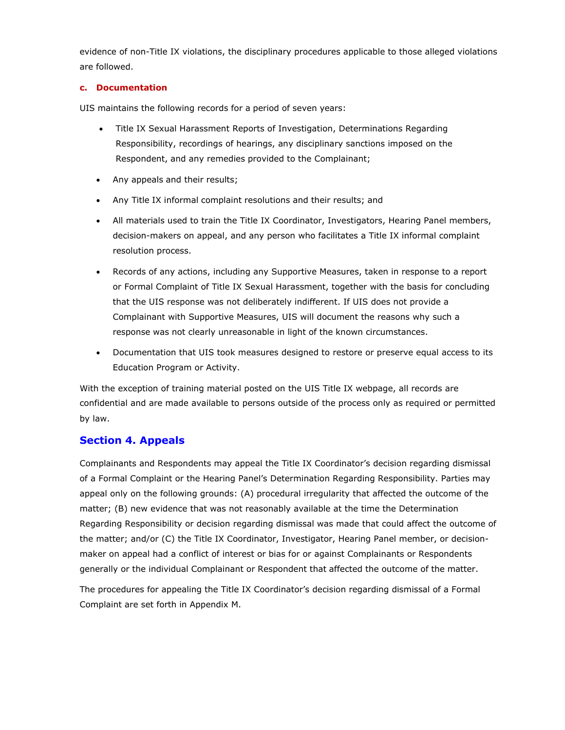evidence of non-Title IX violations, the disciplinary procedures applicable to those alleged violations are followed.

## **c. Documentation**

UIS maintains the following records for a period of seven years:

- Title IX Sexual Harassment Reports of Investigation, Determinations Regarding Responsibility, recordings of hearings, any disciplinary sanctions imposed on the Respondent, and any remedies provided to the Complainant;
- Any appeals and their results;
- Any Title IX informal complaint resolutions and their results; and
- All materials used to train the Title IX Coordinator, Investigators, Hearing Panel members, decision-makers on appeal, and any person who facilitates a Title IX informal complaint resolution process.
- Records of any actions, including any Supportive Measures, taken in response to a report or Formal Complaint of Title IX Sexual Harassment, together with the basis for concluding that the UIS response was not deliberately indifferent. If UIS does not provide a Complainant with Supportive Measures, UIS will document the reasons why such a response was not clearly unreasonable in light of the known circumstances.
- Documentation that UIS took measures designed to restore or preserve equal access to its Education Program or Activity.

With the exception of training material posted on the UIS Title IX webpage, all records are confidential and are made available to persons outside of the process only as required or permitted by law.

## **Section 4. Appeals**

Complainants and Respondents may appeal the Title IX Coordinator's decision regarding dismissal of a Formal Complaint or the Hearing Panel's Determination Regarding Responsibility. Parties may appeal only on the following grounds: (A) procedural irregularity that affected the outcome of the matter; (B) new evidence that was not reasonably available at the time the Determination Regarding Responsibility or decision regarding dismissal was made that could affect the outcome of the matter; and/or (C) the Title IX Coordinator, Investigator, Hearing Panel member, or decisionmaker on appeal had a conflict of interest or bias for or against Complainants or Respondents generally or the individual Complainant or Respondent that affected the outcome of the matter.

The procedures for appealing the Title IX Coordinator's decision regarding dismissal of a Formal Complaint are set forth in Appendix M.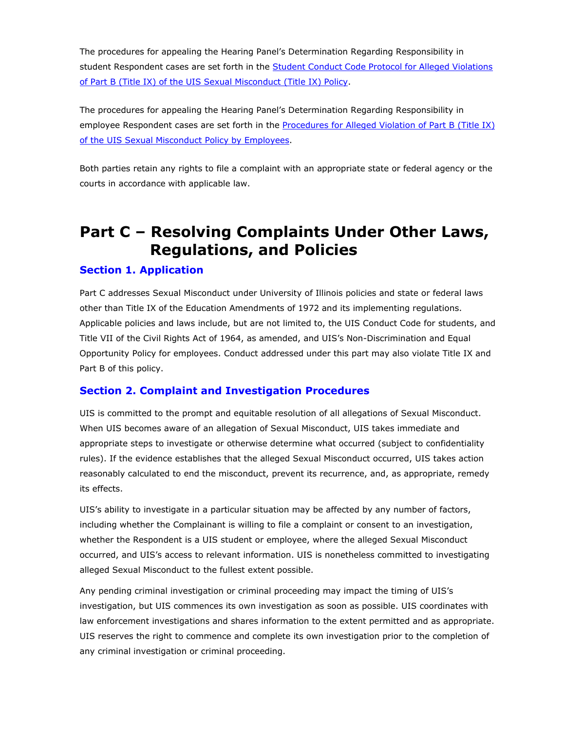The procedures for appealing the Hearing Panel's Determination Regarding Responsibility in student Respondent cases are set forth in the Student Conduct Code Protocol for Alleged [Violations](https://www.uis.edu/deanofstudents/wp-content/uploads/sites/193/2020/08/Student-Conduct-Code-Revision-20200812.pdf#page%3D14) of Part B (Title IX) of the UIS Sexual [Misconduct](https://www.uis.edu/deanofstudents/wp-content/uploads/sites/193/2020/08/Student-Conduct-Code-Revision-20200812.pdf#page%3D14) (Title IX) Policy.

The procedures for appealing the Hearing Panel's Determination Regarding Responsibility in employee Respondent cases are set forth in the [Procedures for Alleged Violation of Part B \(Title IX\)](https://www.uis.edu/humanresources/wp-content/uploads/sites/92/2020/08/HR-Title-IX-procedures-August-2020.pdf#page%3D6) of the UIS Sexual Misconduct Policy [by Employees.](https://www.uis.edu/humanresources/wp-content/uploads/sites/92/2020/08/HR-Title-IX-procedures-August-2020.pdf#page%3D6)

Both parties retain any rights to file a complaint with an appropriate state or federal agency or the courts in accordance with applicable law.

## **Part C – Resolving Complaints Under Other Laws, Regulations, and Policies**

## **Section 1. Application**

Part C addresses Sexual Misconduct under University of Illinois policies and state or federal laws other than Title IX of the Education Amendments of 1972 and its implementing regulations. Applicable policies and laws include, but are not limited to, the UIS Conduct Code for students, and Title VII of the Civil Rights Act of 1964, as amended, and UIS's Non-Discrimination and Equal Opportunity Policy for employees. Conduct addressed under this part may also violate Title IX and Part B of this policy.

## **Section 2. Complaint and Investigation Procedures**

UIS is committed to the prompt and equitable resolution of all allegations of Sexual Misconduct. When UIS becomes aware of an allegation of Sexual Misconduct, UIS takes immediate and appropriate steps to investigate or otherwise determine what occurred (subject to confidentiality rules). If the evidence establishes that the alleged Sexual Misconduct occurred, UIS takes action reasonably calculated to end the misconduct, prevent its recurrence, and, as appropriate, remedy its effects.

UIS's ability to investigate in a particular situation may be affected by any number of factors, including whether the Complainant is willing to file a complaint or consent to an investigation, whether the Respondent is a UIS student or employee, where the alleged Sexual Misconduct occurred, and UIS's access to relevant information. UIS is nonetheless committed to investigating alleged Sexual Misconduct to the fullest extent possible.

Any pending criminal investigation or criminal proceeding may impact the timing of UIS's investigation, but UIS commences its own investigation as soon as possible. UIS coordinates with law enforcement investigations and shares information to the extent permitted and as appropriate. UIS reserves the right to commence and complete its own investigation prior to the completion of any criminal investigation or criminal proceeding.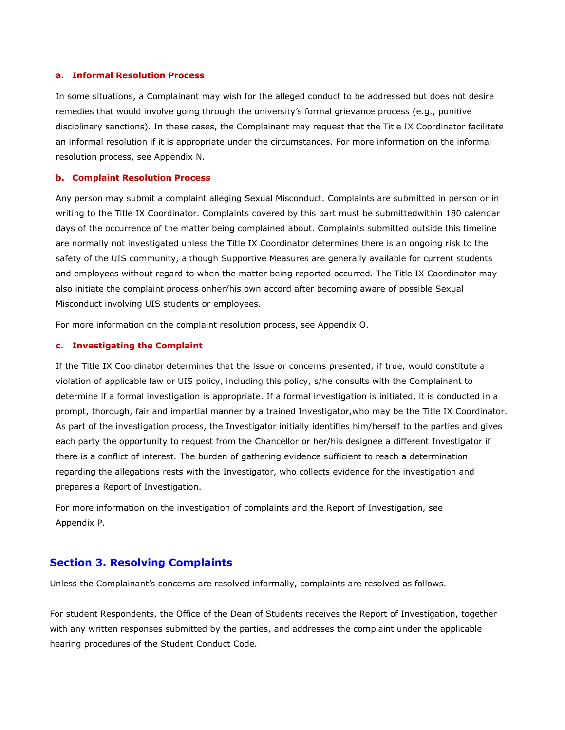#### **a. Informal Resolution Process**

In some situations, a Complainant may wish for the alleged conduct to be addressed but does not desire remedies that would involve going through the university's formal grievance process (e.g., punitive disciplinary sanctions). In these cases, the Complainant may request that the Title IX Coordinator facilitate an informal resolution if it is appropriate under the circumstances. For more information on the informal resolution process, see Appendix N.

#### **b. Complaint Resolution Process**

Any person may submit a complaint alleging Sexual Misconduct. Complaints are submitted in person or in writing to the Title IX Coordinator. Complaints covered by this part must be submittedwithin 180 calendar days of the occurrence of the matter being complained about. Complaints submitted outside this timeline are normally not investigated unless the Title IX Coordinator determines there is an ongoing risk to the safety of the UIS community, although Supportive Measures are generally available for current students and employees without regard to when the matter being reported occurred. The Title IX Coordinator may also initiate the complaint process onher/his own accord after becoming aware of possible Sexual Misconduct involving UIS students or employees.

For more information on the complaint resolution process, see Appendix O.

#### **c. Investigating the Complaint**

If the Title IX Coordinator determines that the issue or concerns presented, if true, would constitute a violation of applicable law or UIS policy, including this policy, s/he consults with the Complainant to determine if a formal investigation is appropriate. If a formal investigation is initiated, it is conducted in a prompt, thorough, fair and impartial manner by a trained Investigator,who may be the Title IX Coordinator. As part of the investigation process, the Investigator initially identifies him/herself to the parties and gives each party the opportunity to request from the Chancellor or her/his designee a different Investigator if there is a conflict of interest. The burden of gathering evidence sufficient to reach a determination regarding the allegations rests with the Investigator, who collects evidence for the investigation and prepares a Report of Investigation.

For more information on the investigation of complaints and the Report of Investigation, see Appendix P.

## **Section 3. Resolving Complaints**

Unless the Complainant's concerns are resolved informally, complaints are resolved as follows.

For student Respondents, the Office of the Dean of Students receives the Report of Investigation, together with any written responses submitted by the parties, and addresses the complaint under the applicable hearing procedures of the Student Conduct Code.